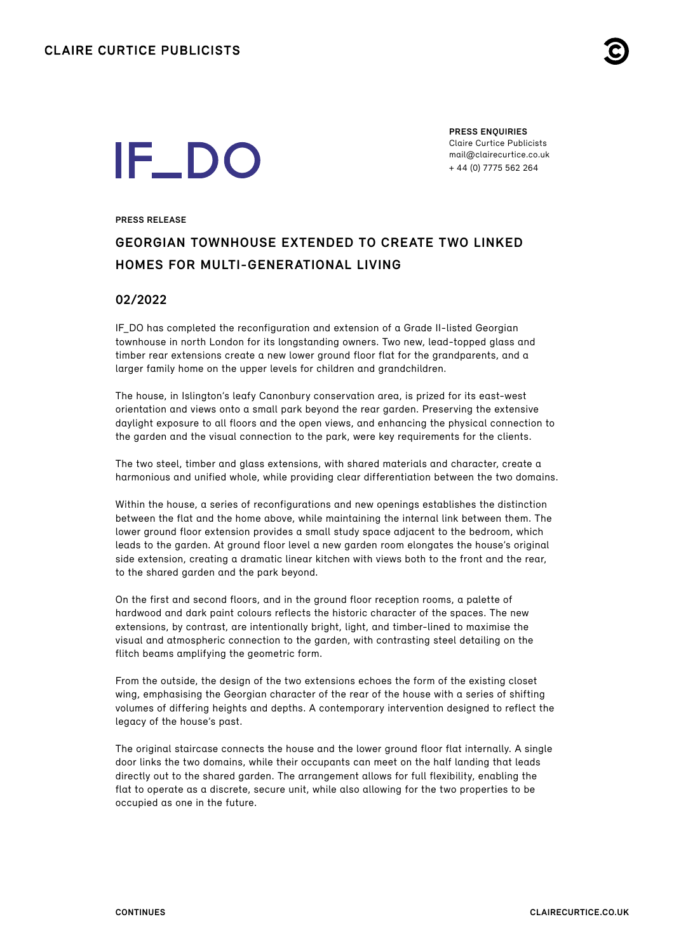

# **IF\_DO**

**PRESS ENQUIRIES** Claire Curtice Publicists [mail@clairecurtice.co.uk](mailto:mail@clairecurtice.co.uk?subject=IF_DO - Canonbury House) + 44 (0) 7775 562 264

#### **PRESS RELEASE**

## **GEORGIAN TOWNHOUSE EXTENDED TO CREATE TWO LINKED HOMES FOR MULTI-GENERATIONAL LIVING**

### **02/2022**

IF\_DO has completed the reconfiguration and extension of a Grade II-listed Georgian townhouse in north London for its longstanding owners. Two new, lead-topped glass and timber rear extensions create a new lower ground floor flat for the grandparents, and a larger family home on the upper levels for children and grandchildren.

The house, in Islington's leafy Canonbury conservation area, is prized for its east-west orientation and views onto a small park beyond the rear garden. Preserving the extensive daylight exposure to all floors and the open views, and enhancing the physical connection to the garden and the visual connection to the park, were key requirements for the clients.

The two steel, timber and glass extensions, with shared materials and character, create a harmonious and unified whole, while providing clear differentiation between the two domains.

Within the house, a series of reconfigurations and new openings establishes the distinction between the flat and the home above, while maintaining the internal link between them. The lower ground floor extension provides a small study space adjacent to the bedroom, which leads to the garden. At ground floor level a new garden room elongates the house's original side extension, creating a dramatic linear kitchen with views both to the front and the rear, to the shared garden and the park beyond.

On the first and second floors, and in the ground floor reception rooms, a palette of hardwood and dark paint colours reflects the historic character of the spaces. The new extensions, by contrast, are intentionally bright, light, and timber-lined to maximise the visual and atmospheric connection to the garden, with contrasting steel detailing on the flitch beams amplifying the geometric form.

From the outside, the design of the two extensions echoes the form of the existing closet wing, emphasising the Georgian character of the rear of the house with a series of shifting volumes of differing heights and depths. A contemporary intervention designed to reflect the legacy of the house's past.

The original staircase connects the house and the lower ground floor flat internally. A single door links the two domains, while their occupants can meet on the half landing that leads directly out to the shared garden. The arrangement allows for full flexibility, enabling the flat to operate as a discrete, secure unit, while also allowing for the two properties to be occupied as one in the future.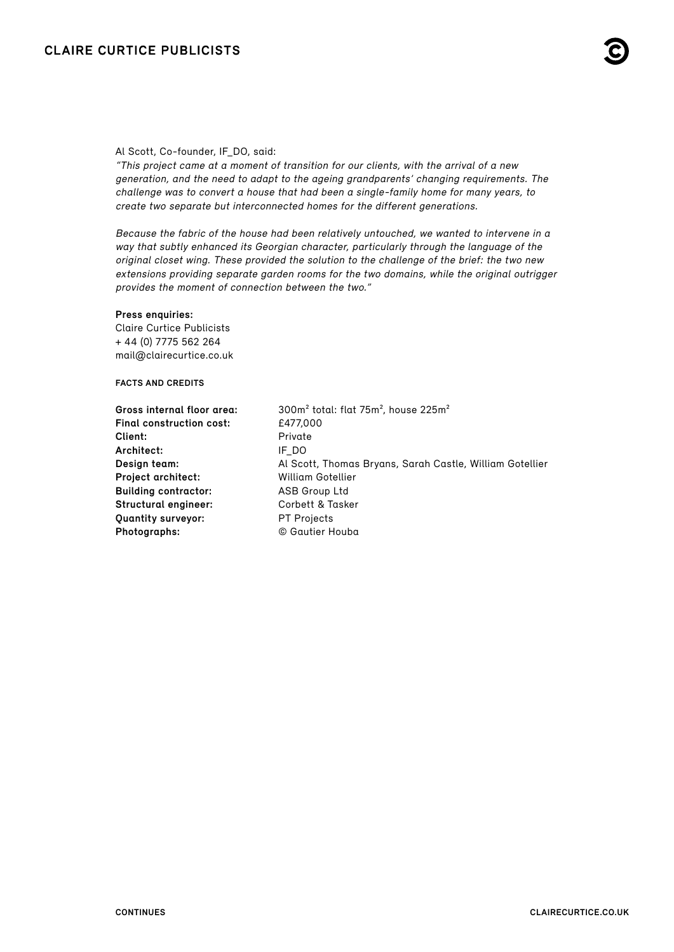#### Al Scott, Co-founder, IF\_DO, said:

"This project came at a moment of transition for our clients, with the arrival of a new generation, and the need to adapt to the ageing grandparents' changing requirements. The challenge was to convert a house that had been a single-family home for many years, to create two separate but interconnected homes for the different generations.

Because the fabric of the house had been relatively untouched, we wanted to intervene in a way that subtly enhanced its Georgian character, particularly through the language of the original closet wing. These provided the solution to the challenge of the brief: the two new extensions providing separate garden rooms for the two domains, while the original outrigger provides the moment of connection between the two."

#### **Press enquiries:**

Claire Curtice Publicists + 44 (0) 7775 562 264 [mail@clairecurtice.co.uk](mailto:mail@clairecurtice.co.uk?subject=IF_DO - Canonbury House)

#### **FACTS AND CREDITS**

**Final construction cost:**  $f477,000$ **Client:** Private **Architect:** IF\_DO **Project architect:** William Gotellier **Building contractor:** ASB Group Ltd **Structural engineer:** Corbett & Tasker **Quantity surveyor:** PT Projects **Photographs:** © Gautier Houba

**Gross internal floor area:** 300m² total: flat 75m², house 225m² **Design team:** Al Scott, Thomas Bryans, Sarah Castle, William Gotellier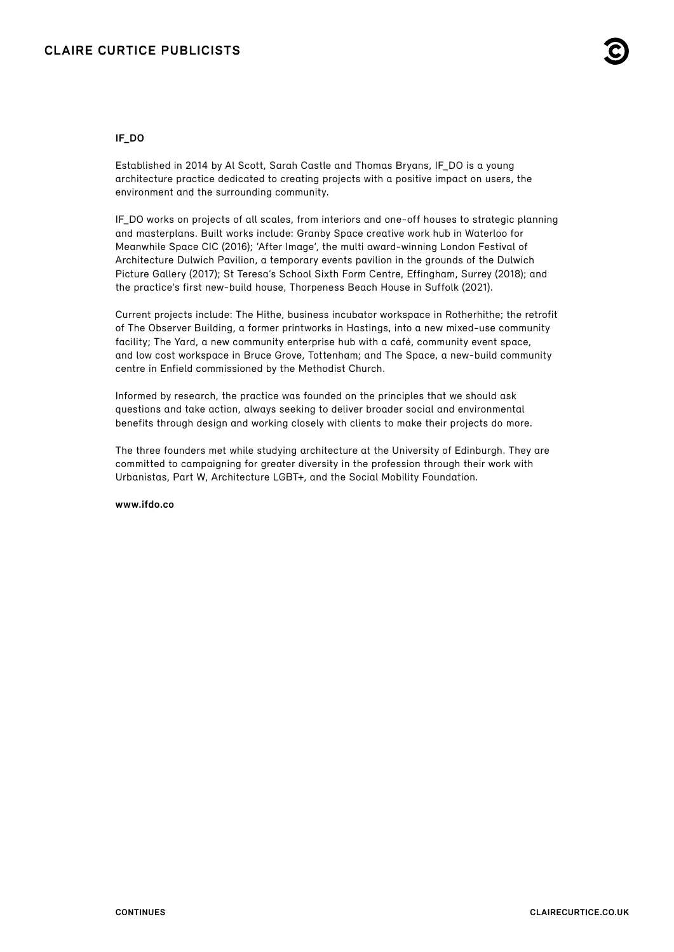#### **IF\_DO**

Established in 2014 by Al Scott, Sarah Castle and Thomas Bryans, IF\_DO is a young architecture practice dedicated to creating projects with a positive impact on users, the environment and the surrounding community.

IF\_DO works on projects of all scales, from interiors and one-off houses to strategic planning and masterplans. Built works include: Granby Space creative work hub in Waterloo for Meanwhile Space CIC (2016); 'After Image', the multi award-winning London Festival of Architecture Dulwich Pavilion, a temporary events pavilion in the grounds of the Dulwich Picture Gallery (2017); St Teresa's School Sixth Form Centre, Effingham, Surrey (2018); and the practice's first new-build house, Thorpeness Beach House in Suffolk (2021).

Current projects include: The Hithe, business incubator workspace in Rotherhithe; the retrofit of The Observer Building, a former printworks in Hastings, into a new mixed-use community facility; The Yard, a new community enterprise hub with a café, community event space, and low cost workspace in Bruce Grove, Tottenham; and The Space, a new-build community centre in Enfield commissioned by the Methodist Church.

Informed by research, the practice was founded on the principles that we should ask questions and take action, always seeking to deliver broader social and environmental benefits through design and working closely with clients to make their projects do more.

The three founders met while studying architecture at the University of Edinburgh. They are committed to campaigning for greater diversity in the profession through their work with Urbanistas, Part W, Architecture LGBT+, and the Social Mobility Foundation.

**[www.ifdo.co](https://www.ifdo.co)**